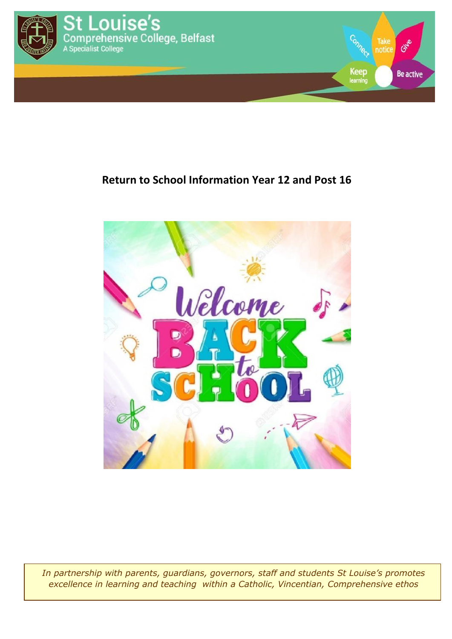

## **Return to School Information Year 12 and Post 16**



*In partnership with parents, guardians, governors, staff and students St Louise's promotes excellence in learning and teaching within a Catholic, Vincentian, Comprehensive ethos*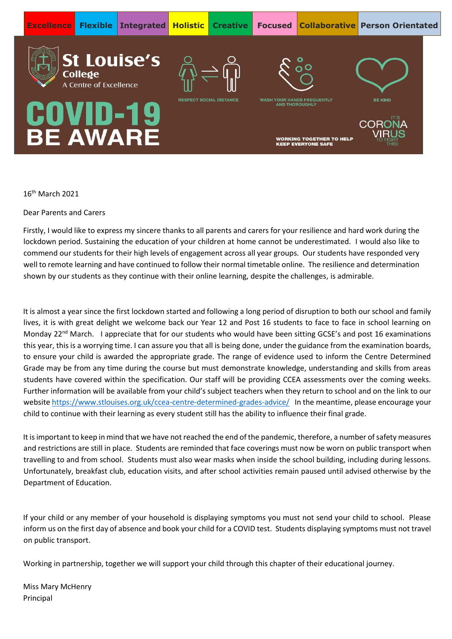

16th March 2021

Dear Parents and Carers

Firstly, I would like to express my sincere thanks to all parents and carers for your resilience and hard work during the lockdown period. Sustaining the education of your children at home cannot be underestimated. I would also like to commend our students for their high levels of engagement across all year groups. Our students have responded very well to remote learning and have continued to follow their normal timetable online. The resilience and determination shown by our students as they continue with their online learning, despite the challenges, is admirable.

It is almost a year since the first lockdown started and following a long period of disruption to both our school and family lives, it is with great delight we welcome back our Year 12 and Post 16 students to face to face in school learning on Monday 22<sup>nd</sup> March. I appreciate that for our students who would have been sitting GCSE's and post 16 examinations this year, this is a worrying time. I can assure you that all is being done, under the guidance from the examination boards, to ensure your child is awarded the appropriate grade. The range of evidence used to inform the Centre Determined Grade may be from any time during the course but must demonstrate knowledge, understanding and skills from areas students have covered within the specification. Our staff will be providing CCEA assessments over the coming weeks. Further information will be available from your child's subject teachers when they return to school and on the link to our websit[e https://www.stlouises.org.uk/ccea-centre-determined-grades-advice/](https://www.stlouises.org.uk/ccea-centre-determined-grades-advice/) In the meantime, please encourage your child to continue with their learning as every student still has the ability to influence their final grade.

It is important to keep in mind that we have not reached the end of the pandemic, therefore, a number of safety measures and restrictions are still in place. Students are reminded that face coverings must now be worn on public transport when travelling to and from school. Students must also wear masks when inside the school building, including during lessons. Unfortunately, breakfast club, education visits, and after school activities remain paused until advised otherwise by the Department of Education.

If your child or any member of your household is displaying symptoms you must not send your child to school. Please inform us on the first day of absence and book your child for a COVID test. Students displaying symptoms must not travel on public transport.

Working in partnership, together we will support your child through this chapter of their educational journey.

Miss Mary McHenry Principal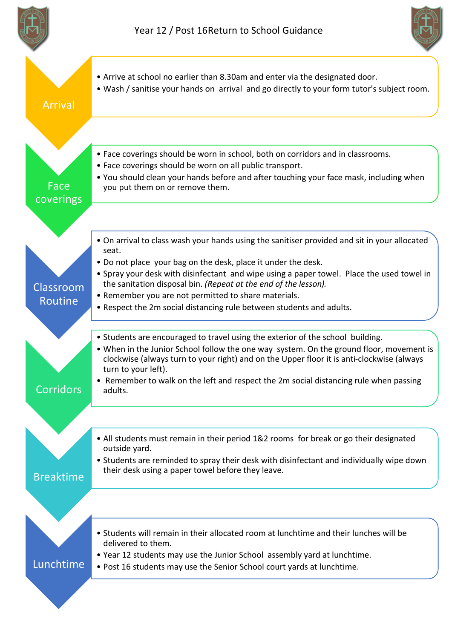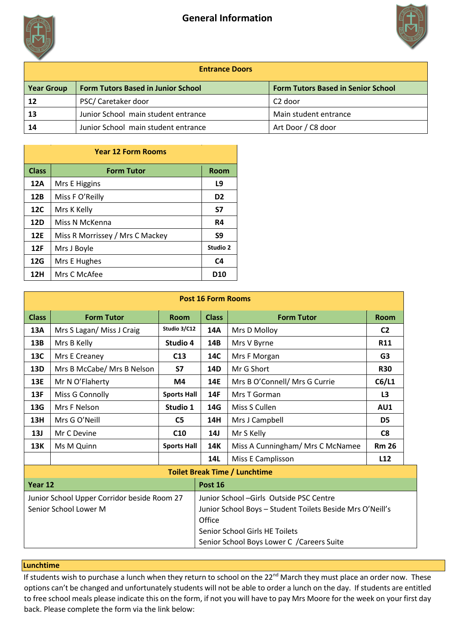



| <b>Entrance Doors</b> |                                           |                                           |  |  |  |
|-----------------------|-------------------------------------------|-------------------------------------------|--|--|--|
| <b>Year Group</b>     | <b>Form Tutors Based in Junior School</b> | <b>Form Tutors Based in Senior School</b> |  |  |  |
| 12                    | PSC/ Caretaker door                       | C2 door                                   |  |  |  |
| 13                    | Junior School main student entrance       | Main student entrance                     |  |  |  |
| 14                    | Junior School main student entrance       | Art Door / C8 door                        |  |  |  |

| <b>Year 12 Form Rooms</b> |                                 |                |  |  |  |
|---------------------------|---------------------------------|----------------|--|--|--|
| <b>Class</b>              | <b>Form Tutor</b>               | <b>Room</b>    |  |  |  |
| 12A                       | Mrs E Higgins                   | L9             |  |  |  |
| 12B                       | Miss F O'Reilly                 | D <sub>2</sub> |  |  |  |
| 12C                       | Mrs K Kelly                     | S7             |  |  |  |
| 12D                       | Miss N McKenna                  | R4             |  |  |  |
| <b>12E</b>                | Miss R Morrissey / Mrs C Mackey | S9             |  |  |  |
| 12F                       | Mrs J Boyle                     | Studio 2       |  |  |  |
| 12G                       | Mrs E Hughes                    | C <sub>4</sub> |  |  |  |
| 12H                       | Mrs C McAfee                    | <b>D10</b>     |  |  |  |

| <b>Post 16 Form Rooms</b>                   |                            |                                |                                                           |                                  |                |  |  |
|---------------------------------------------|----------------------------|--------------------------------|-----------------------------------------------------------|----------------------------------|----------------|--|--|
| <b>Class</b>                                | <b>Form Tutor</b>          | <b>Room</b>                    | <b>Class</b>                                              | <b>Form Tutor</b>                | <b>Room</b>    |  |  |
| 13A                                         | Mrs S Lagan/ Miss J Craig  | Studio 3/C12                   | 14A                                                       | Mrs D Molloy                     | C <sub>2</sub> |  |  |
| 13B                                         | Mrs B Kelly                | Studio 4                       | 14B                                                       | Mrs V Byrne                      | <b>R11</b>     |  |  |
| 13C                                         | Mrs E Creaney              | C <sub>13</sub>                | 14C                                                       | Mrs F Morgan                     | G <sub>3</sub> |  |  |
| 13D                                         | Mrs B McCabe/ Mrs B Nelson | S7                             | 14D                                                       | Mr G Short                       | <b>R30</b>     |  |  |
| 13E                                         | Mr N O'Flaherty            | M4                             | <b>14E</b>                                                | Mrs B O'Connell/ Mrs G Currie    | C6/L1          |  |  |
| 13F                                         | Miss G Connolly            | <b>Sports Hall</b>             | 14F                                                       | Mrs T Gorman                     | L <sub>3</sub> |  |  |
| 13G                                         | Mrs F Nelson               | Studio 1                       | 14G                                                       | Miss S Cullen                    | AU1            |  |  |
| 13H                                         | Mrs G O'Neill              | C <sub>5</sub>                 | 14H                                                       | Mrs J Campbell                   | D <sub>5</sub> |  |  |
| 13J                                         | Mr C Devine                | C <sub>10</sub>                | 14J                                                       | Mr S Kelly                       | C <sub>8</sub> |  |  |
| 13K                                         | Ms M Quinn                 | <b>Sports Hall</b>             | 14K                                                       | Miss A Cunningham/ Mrs C McNamee | <b>Rm 26</b>   |  |  |
|                                             |                            |                                | 14L                                                       | Miss E Camplisson                | L12            |  |  |
| <b>Toilet Break Time / Lunchtime</b>        |                            |                                |                                                           |                                  |                |  |  |
| Year 12                                     |                            |                                | Post 16                                                   |                                  |                |  |  |
| Junior School Upper Corridor beside Room 27 |                            |                                | Junior School - Girls Outside PSC Centre                  |                                  |                |  |  |
| Senior School Lower M                       |                            |                                | Junior School Boys - Student Toilets Beside Mrs O'Neill's |                                  |                |  |  |
|                                             |                            | Office                         |                                                           |                                  |                |  |  |
|                                             |                            | Senior School Girls HE Toilets |                                                           |                                  |                |  |  |
|                                             |                            |                                | Senior School Boys Lower C / Careers Suite                |                                  |                |  |  |

## **Lunchtime**

If students wish to purchase a lunch when they return to school on the 22<sup>nd</sup> March they must place an order now. These options can't be changed and unfortunately students will not be able to order a lunch on the day. If students are entitled to free school meals please indicate this on the form, if not you will have to pay Mrs Moore for the week on your first day back. Please complete the form via the link below: